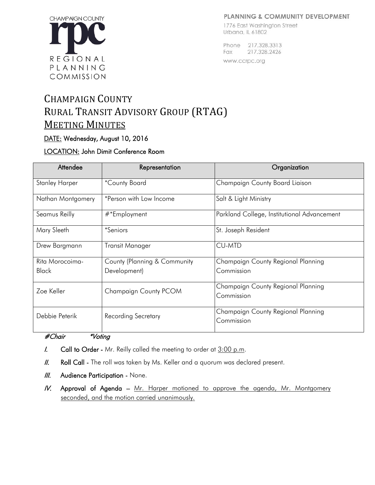#### PLANNING & COMMUNITY DEVELOPMENT



#### 1776 East Washington Street Urbana, IL 61802

Phone 217,328,3313 Fax 217.328.2426 www.ccrpc.org

# CHAMPAIGN COUNTY RURAL TRANSIT ADVISORY GROUP (RTAG) **MEETING MINUTES**

# DATE: Wednesday, August 10, 2016

# LOCATION: John Dimit Conference Room

| Attendee              | Representation               | Organization                                |
|-----------------------|------------------------------|---------------------------------------------|
| <b>Stanley Harper</b> | *County Board                | Champaign County Board Liaison              |
| Nathan Montgomery     | *Person with Low Income      | Salt & Light Ministry                       |
| Seamus Reilly         | #*Employment                 | Parkland College, Institutional Advancement |
| Mary Sleeth           | <i>*Seniors</i>              | St. Joseph Resident                         |
| Drew Bargmann         | Transit Manager              | <b>CU-MTD</b>                               |
| Rita Morocoima-       | County (Planning & Community | Champaign County Regional Planning          |
| <b>Black</b>          | Development)                 | Commission                                  |
| Zoe Keller            | Champaign County PCOM        | Champaign County Regional Planning          |
|                       |                              | Commission                                  |
| Debbie Peterik        | <b>Recording Secretary</b>   | Champaign County Regional Planning          |
|                       |                              | Commission                                  |

### #Chair \*Voting

- $I.$  Call to Order Mr. Reilly called the meeting to order at  $3:00$  p.m.
- II. Roll Call The roll was taken by Ms. Keller and a quorum was declared present.
- **III.** Audience Participation None.
- IV. Approval of Agenda Mr. Harper motioned to approve the agenda, Mr. Montgomery seconded, and the motion carried unanimously.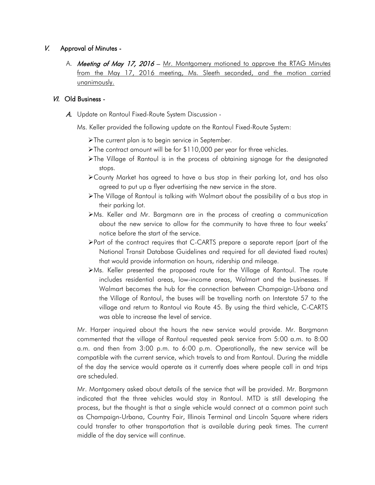### V. Approval of Minutes -

A. Meeting of May 17, 2016 - Mr. Montgomery motioned to approve the RTAG Minutes from the May 17, 2016 meeting, Ms. Sleeth seconded, and the motion carried unanimously.

#### VI. Old Business -

- A. Update on Rantoul Fixed-Route System Discussion
	- Ms. Keller provided the following update on the Rantoul Fixed-Route System:
		- **The current plan is to begin service in September.**
		- The contract amount will be for \$110,000 per year for three vehicles.
		- The Village of Rantoul is in the process of obtaining signage for the designated stops.
		- County Market has agreed to have a bus stop in their parking lot, and has also agreed to put up a flyer advertising the new service in the store.
		- The Village of Rantoul is talking with Walmart about the possibility of a bus stop in their parking lot.
		- Ms. Keller and Mr. Bargmann are in the process of creating a communication about the new service to allow for the community to have three to four weeks' notice before the start of the service.
		- Part of the contract requires that C-CARTS prepare a separate report (part of the National Transit Database Guidelines and required for all deviated fixed routes) that would provide information on hours, ridership and mileage.
		- Ms. Keller presented the proposed route for the Village of Rantoul. The route includes residential areas, low-income areas, Walmart and the businesses. If Walmart becomes the hub for the connection between Champaign-Urbana and the Village of Rantoul, the buses will be travelling north on Interstate 57 to the village and return to Rantoul via Route 45. By using the third vehicle, C-CARTS was able to increase the level of service.

Mr. Harper inquired about the hours the new service would provide. Mr. Bargmann commented that the village of Rantoul requested peak service from 5:00 a.m. to 8:00 a.m. and then from 3:00 p.m. to 6:00 p.m. Operationally, the new service will be compatible with the current service, which travels to and from Rantoul. During the middle of the day the service would operate as it currently does where people call in and trips are scheduled.

Mr. Montgomery asked about details of the service that will be provided. Mr. Bargmann indicated that the three vehicles would stay in Rantoul. MTD is still developing the process, but the thought is that a single vehicle would connect at a common point such as Champaign-Urbana, Country Fair, Illinois Terminal and Lincoln Square where riders could transfer to other transportation that is available during peak times. The current middle of the day service will continue.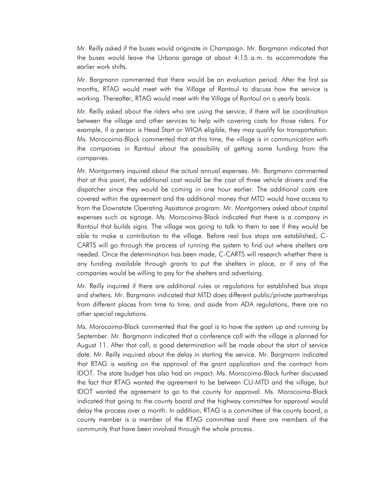Mr. Reilly asked if the buses would originate in Champaign. Mr. Bargmann indicated that the buses would leave the Urbana garage at about 4:15 a.m. to accommodate the earlier work shifts.

Mr. Bargmann commented that there would be an evaluation period. After the first six months, RTAG would meet with the Village of Rantoul to discuss how the service is working. Thereafter, RTAG would meet with the Village of Rantoul on a yearly basis.

Mr. Reilly asked about the riders who are using the service; if there will be coordination between the village and other services to help with covering costs for those riders. For example, if a person is Head Start or WIOA eligible, they may qualify for transportation. Ms. Morocoima-Black commented that at this time, the village is in communication with the companies in Rantoul about the possibility of getting some funding from the companies.

Mr. Montgomery inquired about the actual annual expenses. Mr. Bargmann commented that at this point, the additional cost would be the cost of three vehicle drivers and the dispatcher since they would be coming in one hour earlier. The additional costs are covered within the agreement and the additional money that MTD would have access to from the Downstate Operating Assistance program. Mr. Montgomery asked about capital expenses such as signage. Ms. Morocoima-Black indicated that there is a company in Rantoul that builds signs. The village was going to talk to them to see if they would be able to make a contribution to the village. Before real bus stops are established, C-CARTS will go through the process of running the system to find out where shelters are needed. Once the determination has been made, C-CARTS will research whether there is any funding available through grants to put the shelters in place, or if any of the companies would be willing to pay for the shelters and advertising.

Mr. Reilly inquired if there are additional rules or regulations for established bus stops and shelters. Mr. Bargmann indicated that MTD does different public/private partnerships from different places from time to time, and aside from ADA regulations, there are no other special regulations.

Ms. Morocoima-Black commented that the goal is to have the system up and running by September. Mr. Bargmann indicated that a conference call with the village is planned for August 11. After that call, a good determination will be made about the start of service date. Mr. Reilly inquired about the delay in starting the service. Mr. Bargmann indicated that RTAG is waiting on the approval of the grant application and the contract from IDOT. The state budget has also had an impact. Ms. Morocoima-Black further discussed the fact that RTAG wanted the agreement to be between CU-MTD and the village, but IDOT wanted the agreement to go to the county for approval. Ms. Morocoima-Black indicated that going to the county board and the highway committee for approval would delay the process over a month. In addition, RTAG is a committee of the county board, a county member is a member of the RTAG committee and there are members of the community that have been involved through the whole process.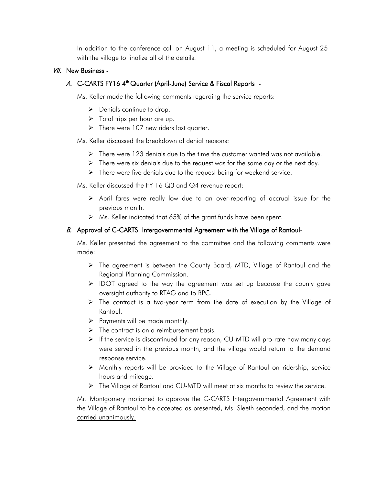In addition to the conference call on August 11, a meeting is scheduled for August 25 with the village to finalize all of the details.

#### VII. New Business -

# A. C-CARTS FY16 4<sup>th</sup> Quarter (April-June) Service & Fiscal Reports -

Ms. Keller made the following comments regarding the service reports:

- $\triangleright$  Denials continue to drop.
- $\triangleright$  Total trips per hour are up.
- $\triangleright$  There were 107 new riders last quarter.

Ms. Keller discussed the breakdown of denial reasons:

- $\triangleright$  There were 123 denials due to the time the customer wanted was not available.
- $\triangleright$  There were six denials due to the request was for the same day or the next day.
- $\triangleright$  There were five denials due to the request being for weekend service.

Ms. Keller discussed the FY 16 Q3 and Q4 revenue report:

- April fares were really low due to an over-reporting of accrual issue for the previous month.
- Ms. Keller indicated that 65% of the grant funds have been spent.

#### B. Approval of C-CARTS Intergovernmental Agreement with the Village of Rantoul-

Ms. Keller presented the agreement to the committee and the following comments were made:

- The agreement is between the County Board, MTD, Village of Rantoul and the Regional Planning Commission.
- $\triangleright$  IDOT agreed to the way the agreement was set up because the county gave oversight authority to RTAG and to RPC.
- $\triangleright$  The contract is a two-year term from the date of execution by the Village of Rantoul.
- $\triangleright$  Payments will be made monthly.
- $\triangleright$  The contract is on a reimbursement basis.
- If the service is discontinued for any reason, CU-MTD will pro-rate how many days were served in the previous month, and the village would return to the demand response service.
- $\triangleright$  Monthly reports will be provided to the Village of Rantoul on ridership, service hours and mileage.
- $\triangleright$  The Village of Rantoul and CU-MTD will meet at six months to review the service.

Mr. Montgomery motioned to approve the C-CARTS Intergovernmental Agreement with the Village of Rantoul to be accepted as presented, Ms. Sleeth seconded, and the motion carried unanimously.